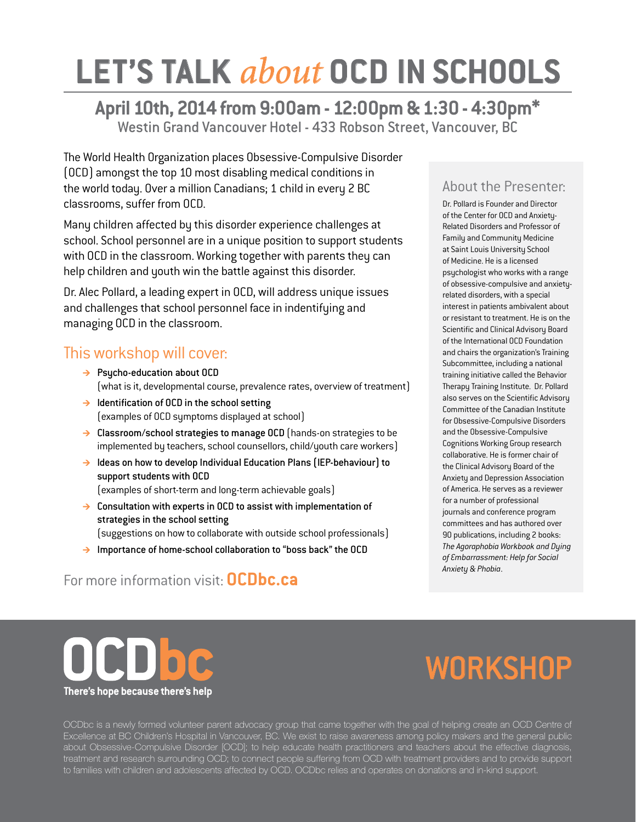## **LET'S TALK** *about* **OCD IN SCHOOLS**

#### **April 10th, 2014 from 9:00am - 12:00pm & 1:30 - 4:30pm\*** Westin Grand Vancouver Hotel - 433 Robson Street, Vancouver, BC

The World Health Organization places Obsessive-Compulsive Disorder (OCD) amongst the top 10 most disabling medical conditions in the world today. Over a million Canadians; 1 child in every 2 BC classrooms, suffer from OCD.

Many children affected by this disorder experience challenges at school. School personnel are in a unique position to support students with OCD in the classroom. Working together with parents they can help children and youth win the battle against this disorder.

Dr. Alec Pollard, a leading expert in OCD, will address unique issues and challenges that school personnel face in indentifying and managing OCD in the classroom.

#### This workshop will cover:

- $\rightarrow$  Psycho-education about OCD (what is it, developmental course, prevalence rates, overview of treatment)
- $\rightarrow$  Identification of OCD in the school setting (examples of OCD symptoms displayed at school)
- $\rightarrow$  Classroom/school strategies to manage OCD (hands-on strategies to be implemented by teachers, school counsellors, child/youth care workers)
- $\rightarrow$  Ideas on how to develop Individual Education Plans (IEP-behaviour) to support students with OCD (examples of short-term and long-term achievable goals)
- $\rightarrow$  Consultation with experts in OCD to assist with implementation of strategies in the school setting (suggestions on how to collaborate with outside school professionals)
- $\rightarrow$  Importance of home-school collaboration to "boss back" the OCD

#### For more information visit: **OCDbc.ca**

#### About the Presenter:

Dr. Pollard is Founder and Director of the Center for OCD and Anxiety-Related Disorders and Professor of Family and Community Medicine at Saint Louis University School of Medicine. He is a licensed psychologist who works with a range of obsessive-compulsive and anxietyrelated disorders, with a special interest in patients ambivalent about or resistant to treatment. He is on the Scientific and Clinical Advisory Board of the International OCD Foundation and chairs the organization's Training Subcommittee, including a national training initiative called the Behavior Therapy Training Institute. Dr. Pollard also serves on the Scientific Advisory Committee of the Canadian Institute for Obsessive-Compulsive Disorders and the Obsessive-Compulsive Cognitions Working Group research collaborative. He is former chair of the Clinical Advisory Board of the Anxiety and Depression Association of America. He serves as a reviewer for a number of professional journals and conference program committees and has authored over 90 publications, including 2 books: *The Agoraphobia Workbook and Dying of Embarrassment: Help for Social Anxiety & Phobia*.

# **There's hope because there's help**

## **WORKSHOP**

OCDbc is a newly formed volunteer parent advocacy group that came together with the goal of helping create an OCD Centre of Excellence at BC Children's Hospital in Vancouver, BC. We exist to raise awareness among policy makers and the general public about Obsessive-Compulsive Disorder [OCD]; to help educate health practitioners and teachers about the effective diagnosis, treatment and research surrounding OCD; to connect people suffering from OCD with treatment providers and to provide support to families with children and adolescents affected by OCD. OCDbc relies and operates on donations and in-kind support.